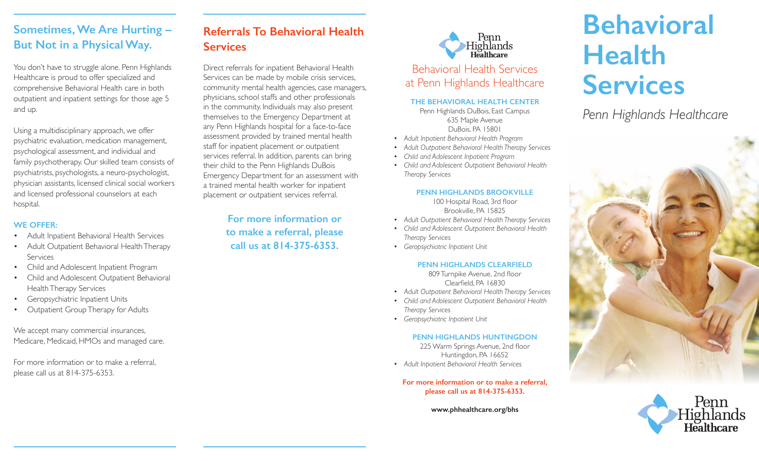# **Sometimes, We Are Hurting – But Not in a Physical Way.**

You don't have to struggle alone. Penn Highlands Healthcare is proud to offer specialized and comprehensive Behavioral Health care in both outpatient and inpatient settings for those age 5 and up.

Using a multidisciplinary approach, we offer psychiatric evaluation, medication management, psychological assessment, and individual and family psychotherapy. Our skilled team consists of psychiatrists, psychologists, a neuro-psychologist, physician assistants, licensed clinical social workers and licensed professional counselors at each hospital.

#### **WE OFFER:**

- Adult Inpatient Behavioral Health Services
- Adult Outpatient Behavioral Health Therapy Services
- Child and Adolescent Inpatient Program
- Child and Adolescent Outpatient Behavioral Health Therapy Services
- Geropsychiatric Inpatient Units
- Outpatient Group Therapy for Adults

We accept many commercial insurances, Medicare, Medicaid, HMOs and managed care.

For more information or to make a referral, please call us at 814-375-6353.

# **Referrals To Behavioral Health Services**

Direct referrals for inpatient Behavioral Health Services can be made by mobile crisis services, community mental health agencies, case managers, physicians, school staffs and other professionals in the community. Individuals may also present themselves to the Emergency Department at any Penn Highlands hospital for a face-to-face assessment provided by trained mental health staff for inpatient placement or outpatient services referral. In addition, parents can bring their child to the Penn Highlands DuBois Emergency Department for an assessment with a trained mental health worker for inpatient placement or outpatient services referral.

> **For more information or to make a referral, please call us at 814-375-6353.**



**THE BEHAVIORAL HEALTH CENTER**  Penn Highlands DuBois, East Campus

635 Maple Avenue DuBois, PA 15801

- *• Adult Inpatient Behavioral Health Program*
- *• Adult Outpatient Behavioral Health Therapy Services*
- *• Child and Adolescent Inpatient Program*
- *• Child and Adolescent Outpatient Behavioral Health Therapy Services*

#### **PENN HIGHLANDS BROOKVILLE**

100 Hospital Road, 3rd floor Brookville, PA 15825

- *• Adult Outpatient Behavioral Health Therapy Services*
- *• Child and Adolescent Outpatient Behavioral Health Therapy Services*
- *• Geropsychiatric Inpatient Unit*

### **PENN HIGHLANDS CLEARFIELD**

809 Turnpike Avenue, 2nd floor Clearfield, PA 16830

- *• Adult Outpatient Behavioral Health Therapy Services*
- *• Child and Adolescent Outpatient Behavioral Health Therapy Services*
- *• Geropsychiatric Inpatient Unit*

#### **PENN HIGHLANDS HUNTINGDON**

225 Warm Springs Avenue, 2nd floor Huntingdon, PA 16652

*• Adult Inpatient Behavioral Health Services* 

**For more information or to make a referral, please call us at 814-375-6353.** 

**www.phhealthcare.org/bhs**

# **Behavioral Health Services**

*Penn Highlands Healthcare*